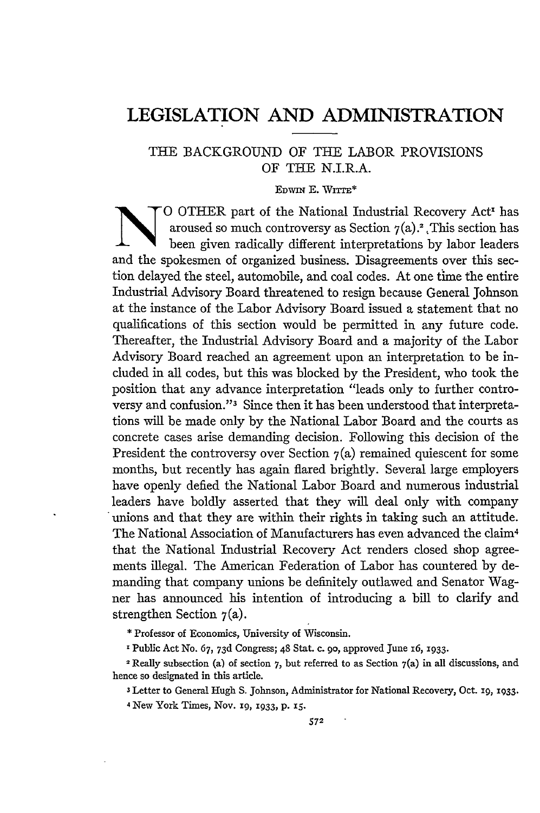## **LEGISLATION AND ADMINISTRATION**

## THE BACKGROUND OF THE LABOR PROVISIONS OF THE N.I.R.A.

EDWIN E. WITTE\*<br>O OTHER part of the National Industrial Recovery Act<sup>1</sup> has aroused so much controversy as Section  $7(a)$ .<sup>2</sup> , This section has been given radically different interpretations by labor leaders and the spokesmen of organized business. Disagreements over this section delayed the steel, automobile, and coal codes. At one time the entire Industrial Advisory Board threatened to resign because General Johnson at the instance of the Labor Advisory Board issued a statement that no qualifications of this section would be permitted in any future code. Thereafter, the Industrial Advisory Board and a majority of the Labor Advisory Board reached an agreement upon an interpretation to be included in all codes, but this was blocked by the President, who took the position that any advance interpretation "leads only to further controversy and confusion."3 Since then it has been understood that interpretations will be made only by the National Labor Board and the courts as concrete cases arise demanding decision. Following this decision of the President the controversy over Section  $7(a)$  remained quiescent for some months, but recently has again flared brightly. Several large employers have openly defied the National Labor Board and numerous industrial leaders have boldly asserted that they will deal only with company unions and that they are within their rights in taking such an attitude. The National Association of Manufacturers has even advanced the claim <sup>4</sup> that the National Industrial Recovery Act renders closed shop agreements illegal. The American Federation of Labor has countered by demanding that company unions be definitely outlawed and Senator Wagner has announced his intention of introducing a bill to clarify and strengthen Section 7(a).

**\*** Professor of Economics, University of Wisconsin.

'Public Act No. **67, 73d** Congress; 48 Stat. c. **go,** approved June **i6, 1933.**

2 Really subsection **(a)** of section **7,** but referred to as Section 7(a) in all discussions, and hence so designated in this article.

**3** Letter **to** General Hugh **S.** Johnson, Administrator **for** National Recovery, Oct. 19, **1933.** 4 New **York** Times, Nov. 19, 1933, p. x5.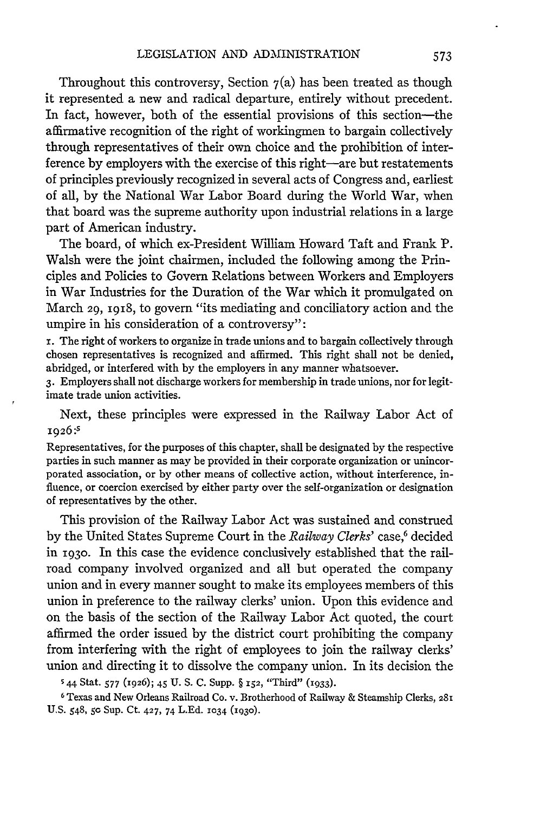Throughout this controversy, Section  $7(a)$  has been treated as though it represented a new and radical departure, entirely without precedent. In fact, however, both of the essential provisions of this section-the affirmative recognition of the right of workingmen to bargain collectively through representatives of their own choice and the prohibition of interference by employers with the exercise of this right-are but restatements of principles previously recognized in several acts of Congress and, earliest of all, by the National War Labor Board during the World War, when that board was the supreme authority upon industrial relations in a large part of American industry.

The board, of which ex-President William Howard Taft and Frank P. Walsh were the joint chairmen, included the following among the Principles and Policies to Govern Relations between Workers and Employers in War Industries for the Duration of the War which it promulgated on March 29, 1918, to govern "its mediating and conciliatory action and the umpire in his consideration of a controversy":

r. The right of workers to organize in trade unions and to bargain collectively through chosen representatives is recognized and affirmed. This right shall not be denied, abridged, or interfered with by the employers in any manner whatsoever.

**3.** Employers shall not discharge workers for membership in trade unions, nor for legitimate trade union activities.

Next, these principles were expressed in the Railway Labor Act of **1926 :5**

Representatives, for the purposes of this chapter, shall be designated by the respective parties in such manner as may be provided in their corporate organization or unincorporated association, or by other means of collective action, without interference, influence, or coercion exercised by either party over the self-organization or designation of representatives by the other.

This provision of the Railway Labor Act was sustained and construed by the United States Supreme Court in the *Railway Clerks'* case,<sup>6</sup> decided in **1930.** In this case the evidence conclusively established that the railroad company involved organized and all but operated the company union and in every manner sought to make its employees members of this union in preference to the railway clerks' union. Upon this evidence and on the basis of the section of the Railway Labor Act quoted, the court affirmed the order issued by the district court prohibiting the company from interfering with the right of employees to join the railway clerks' union and directing it to dissolve the company union. In its decision the

44 Stat. **577** (1926); *45* **U. S. C.** Supp. § **152,** "Third" (1933).

6Texas and New Orleans Railroad Co. v. Brotherhood of Railway **&** Steamship Clerks, 28I **US.** 548, *5c* Sup. Ct. 427, 74 **L.Ed. 1034 (1930).**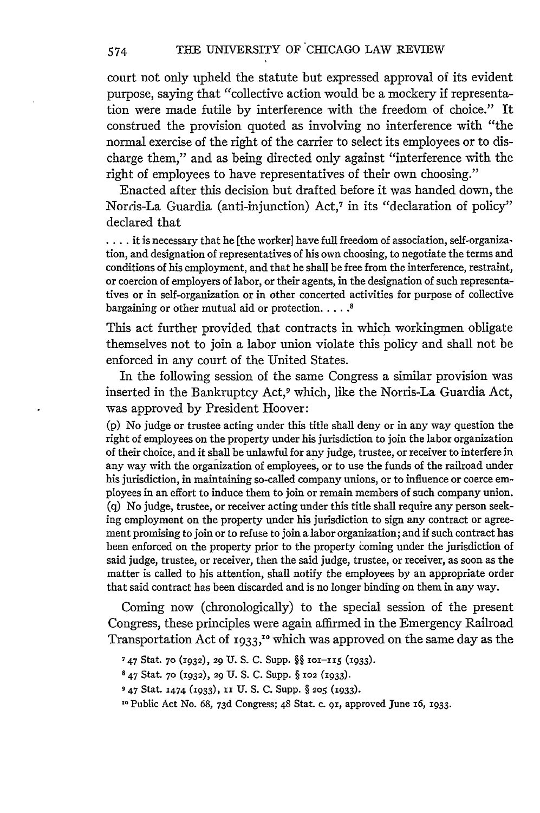court not only upheld the statute but expressed approval of its evident purpose, saying that "collective action would be a mockery if representation were made futile by interference with the freedom of choice." It construed the provision quoted as involving no interference with "the normal exercise of the right of the carrier to select its employees or to discharge them," and as being directed only against "interference with the right of employees to have representatives of their own choosing."

Enacted after this decision but drafted before it was handed down, the Norris-La Guardia (anti-injunction) Act,7 in its "declaration of policy" declared that

**....** it is necessary that he [the worker] have full freedom of association, self-organization, and designation of representatives of his own choosing, to negotiate the terms and conditions of his employment, and that he shall be free from the interference, restraint, or coercion of employers of labor, or their agents, in the designation of such representatives or in self-organization or in other concerted activities for purpose of collective bargaining or other mutual aid or protection **..... 8**

This act further provided that contracts in which workingmen obligate themselves not to join a labor union violate this policy and shall not be enforced in any court of the United States.

In the following session of the same Congress a similar provision was inserted in the Bankruptcy Act,9 which, like the Norris-La Guardia Act, was approved by President Hoover:

(p) No judge or trustee acting under this title shall deny or in any way question the right of employees on the property under his jurisdiction to join the labor organization of their choice, and it shall be unlawful for any judge, trustee, or receiver to interfere in any way with the organization of employees, or to use the funds of the railroad under his jurisdiction, in maintaining so-called company unions, or to influence or coerce employees in an effort to induce them to join or remain members of such company union. (q) No judge, trustee, or receiver acting under this title shall require any person seeking employment on the property under his jurisdiction to sign any contract or agreement promising to join or to refuse to join a labor organization; and **if** such contract has been enforced on the property prior to the property coming under the jurisdiction of said judge, trustee, or receiver, then the said judge, trustee, or receiver, as soon as the matter is called to his attention, shall notify the employees by an appropriate order that said contract has been discarded and is no longer binding on them in any way.

Coming now (chronologically) to the special session of the present Congress, these principles were again affirmed in the Emergency Railroad Transportation Act of **1933,"0** which was approved on the same day as the

574

**<sup>7</sup>** 47 Stat. **7- (1932),** 29 U. S. C. Supp. §§ **101-i 5 (1933).**

**<sup>8</sup>** 47 Stat. **70 (1932),** 29 U. S. **C. Supp.** § **X02** (1933).

**<sup>947</sup>** Stat. 1474 (1933), **ii U. S. C.** Supp. § **205** (i933).

**<sup>1</sup>o** Public Act No. **68, 73d** Congress; 48 Stat. **c.** or, approved June 16, 1933.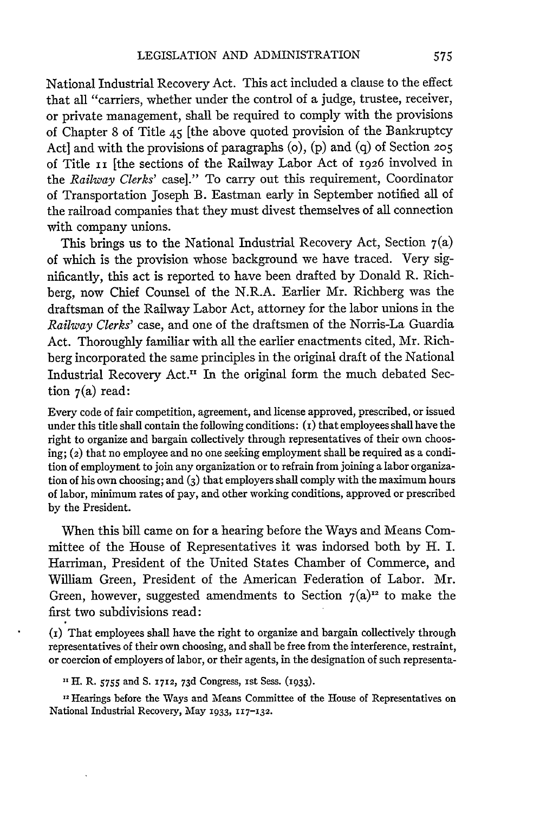National Industrial Recovery Act. This act included a clause to the effect that all "carriers, whether under the control of a judge, trustee, receiver, or private management, shall be required to comply with the provisions of Chapter 8 of Title 45 [the above quoted provision of the Bankruptcy Act] and with the provisions of paragraphs (o), (p) and (q) of Section **205** of Title II [the sections of the Railway Labor Act of 1926 involved in the *Railway Clerks'* case]." To carry out this requirement, Coordinator of Transportation Joseph B. Eastman early in September notified all of the railroad companies that they must divest themselves of all connection with company unions.

This brings us to the National Industrial Recovery Act, Section  $7(a)$ of which is the provision whose background we have traced. Very significantly, this act is reported to have been drafted by Donald R. Richberg, now Chief Counsel of the N.R.A. Earlier Mr. Richberg was the draftsman of the Railway Labor Act, attorney for the labor unions in the *Railway Clerks'* case, and one of the draftsmen of the Norris-La Guardia Act. Thoroughly familiar with all the earlier enactments cited, Mr. Richberg incorporated the same principles in the original draft of the National Industrial Recovery Act." In the original form the much debated Section  $7(a)$  read:

Every code of fair competition, agreement, and license approved, prescribed, or issued under this title shall contain the following conditions:  $(t)$  that employees shall have the right to organize and bargain collectively through representatives of their own choosing; (2) that no employee and no one seeking employment shall be required as a condition of employment to join any organization or to refrain from joining a labor organization of his own choosing; and **(3)** that employers shall comply with the maximum hours of labor, minimum rates of pay, and other working conditions, approved or prescribed by the President.

When this bill came on for a hearing before the Ways and Means Committee of the House of Representatives it was indorsed both by H. I. Harriman, President of the United States Chamber of Commerce, and William Green, President of the American Federation of Labor. Mr. Green, however, suggested amendments to Section  $7(a)^{12}$  to make the first two subdivisions read:

(i) That employees shall have the right to organize and bargain collectively through representatives of their own choosing, and shall be free from the interference, restraint, or coercion of employers of labor, or their agents, in the designation of such representa-

*"H.* R. **5755** and **S. 1712, 73d** Congress, 1st Sess. (933).

<sup>12</sup> Hearings before the Ways and Means Committee of the House of Representatives on National Industrial Recovery, May 1933, 117-132.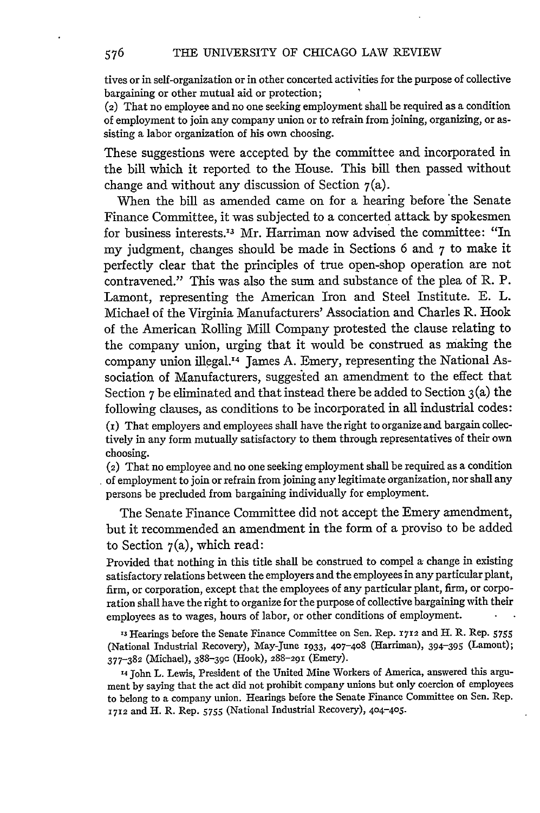tives or in self-organization or in other concerted activities for the purpose of collective bargaining or other mutual aid or protection;

(2) That no employee and no one seeking employment shall be required as a condition of employment to join any company union or to refrain from joining, organizing, or assisting a labor organization of his own choosing.

These suggestions were accepted by the committee and incorporated in the bill which it reported to the House. This bill then passed without change and without any discussion of Section  $7(a)$ .

When the bill as amended came on for a hearing before 'the Senate Finance Committee, it was subjected to a concerted attack by spokesmen for business interests.<sup>13</sup> Mr. Harriman now advised the committee: "In my judgment, changes should be made in Sections 6 and 7 to make it perfectly clear that the principles of true open-shop operation are not contravened." This was also the sum and substance of the plea of R. P. Lamont, representing the American Iron and Steel Institute. E. L. Michael of the Virginia Manufacturers' Association and Charles R. Hook of the American Rolling Mill Company protested the clause relating to the company union, urging that it would be construed as making the company union illegal.<sup>14</sup> James A. Emery, representing the National Association of Manufacturers, suggested an amendment to the effect that Section 7 be eliminated and that instead there be added to Section 3(a) the following clauses, as conditions to be incorporated in all industrial codes: (i) That employers and employees shall have the right to organize and bargain collectively in any form mutually satisfactory to them through representatives of their own

(2) That no employee and no one seeking employment shall be required as a condition of employment to join or refrain from joining any legitimate organization, nor shall any persons be precluded from bargaining individually for employment.

The Senate Finance Committee did not accept the Emery amendment, but it recommended an amendment in the form of a proviso to be added to Section  $7(a)$ , which read:

Provided that nothing in this title shall be construed to compel a change in existing satisfactory relations between the employers and the employees in any particular plant, firm, or corporation, except that the employees of any particular plant, firm, or corporation shall have the right to organize for the purpose of collective bargaining with their employees as to wages, hours of labor, or other conditions of employment.

**,3** Hearings before the Senate Finance Committee on Sen. Rep. *1712* and H. R. Rep. **<sup>5755</sup>** (National Industrial Recovery), May-June 1933, 407-408 (Harriman), 394-395 (Lamont); **377-382** (Michael), 388-39 c (Hook), 288-291 (Emery).

14 John L. Lewis, President of the United Mine Workers of America, answered this argument **by** saying that the act did not prohibit company unions but only coercion of employees to belong to a company union. Hearings before the Senate Finance Committee on Sen. Rep. **1712** and H. R. Rep. 5755 (National Industrial Recovery), 404-405.

choosing.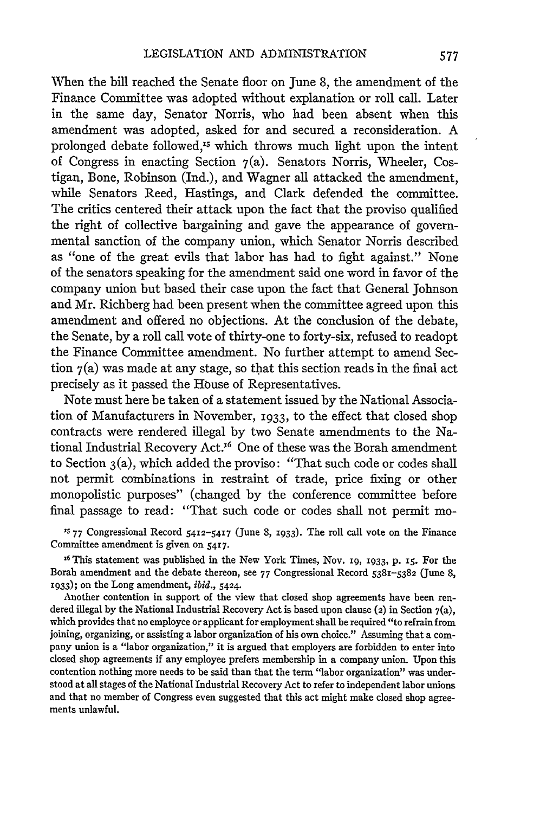When the bill reached the Senate floor on June 8, the amendment of the Finance Committee was adopted without explanation or roll call. Later in the same day, Senator Norris, who had been absent when this amendment was adopted, asked for and secured a reconsideration. A prolonged debate followed,<sup>15</sup> which throws much light upon the intent of Congress in enacting Section  $7(a)$ . Senators Norris, Wheeler, Costigan, Bone, Robinson (Ind.), and Wagner all attacked the amendment, while Senators Reed, Hastings, and Clark defended the committee. The critics centered their attack upon the fact that the proviso qualified the right of collective bargaining and gave the appearance of governmental sanction of the company union, which Senator Norris described as "one of the great evils that labor has had to fight against." None of the senators speaking for the amendment said one word in favor of the company union but based their case upon the fact that General Johnson and Mr. Richberg had been present when the committee agreed upon this amendment and offered no objections. At the conclusion of the debate, the Senate, by a roll call vote of thirty-one to forty-six, refused to readopt the Finance Committee amendment. No further attempt to amend Section  $7(a)$  was made at any stage, so that this section reads in the final act precisely as it passed the House of Representatives.

Note must here be taken of a statement issued by the National Association of Manufacturers in November, 1933, to the effect that closed shop contracts were rendered illegal by two Senate amendments to the National Industrial Recovery Act.<sup>16</sup> One of these was the Borah amendment to Section  $3(a)$ , which added the proviso: "That such code or codes shall not permit combinations in restraint of trade, price fixing or other monopolistic purposes" (changed by the conference committee before final passage to read: "That such code or codes shall not permit mo-

**15 77** Congressional Record 5412-5417 (June 8, 1933). The roll call vote on the Finance Committee amendment is given on 5417.

**<sup>16</sup>**This statement was published in the New York Times, Nov. i9, **933,** P. 15. For the Borah amendment and the debate thereon, see **77** Congressional Record 5381-5382 (June 8, 1933); on the Long amendment, *ibid.,* 5424.

Another contention in support of the view that closed shop agreements have been rendered illegal by the National Industrial Recovery Act is based upon clause (2) in Section 7(a), which provides that no employee or applicant for employment shall be required "to refrain from joining, organizing, or assisting a labor organization of his own choice." Assuming that a company union is a "labor organization," it is argued that employers are forbidden to enter into closed shop agreements if any employee prefers membership in a company union. Upon this contention nothing more needs to be said than that the term "labor organization" was understood at all stages of the National Industrial Recovery Act to refer to independent labor unions and that no member of Congress even suggested that this act might make closed shop agreements unlawful.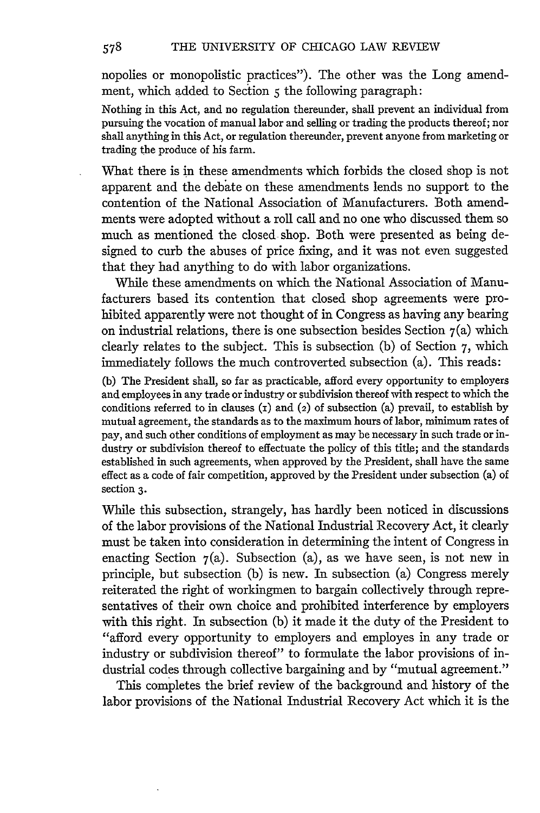nopolies or monopolistic practices"). The other was the Long amendment, which added to Section 5 the following paragraph:

Nothing in this Act, and no regulation thereunder, shall prevent an individual from pursuing the vocation of manual labor and selling or trading the products thereof; nor shall anything in this Act, or regulation thereunder, prevent anyone from marketing or trading the produce of his farm.

What there is in these amendments which forbids the closed shop is not apparent and the debate on these amendments lends no support to the contention of the National Association of Manufacturers. Both amendments were adopted without a roll call and no one who discussed them so much as mentioned the closed shop. Both were presented as being designed to curb the abuses of price fixing, and it was not even suggested that they had anything to do with labor organizations.

While these amendments on which the National Association of Manufacturers based its contention that closed shop agreements were prohibited apparently were not thought of in Congress as having any bearing on industrial relations, there is one subsection besides Section  $7(a)$  which clearly relates to the subject. This is subsection (b) of Section 7, which immediately follows the much controverted subsection (a). This reads:

(b) The President shall, so far as practicable, afford every opportunity to employers and employees in any trade or industry or subdivision thereof with respect to which the conditions referred to in clauses  $(1)$  and  $(2)$  of subsection  $(2)$  prevail, to establish by mutual agreement, the standards as to the maximum hours of labor, minimum rates of pay, and such other conditions of employment as may be necessary in such trade or industry or subdivision thereof to effectuate the policy of this title; and the standards established in such agreements, when approved by the President, shall have the same effect as a code of fair competition, approved by the President under subsection (a) of section **3.**

While this subsection, strangely, has hardly been noticed in discussions of the labor provisions of the National Industrial Recovery Act, it dearly must be taken into consideration in determining the intent of Congress in enacting Section  $7(a)$ . Subsection  $(a)$ , as we have seen, is not new in principle, but subsection (b) is new. In subsection (a) Congress merely reiterated the right of workingmen to bargain collectively through representatives of their own choice and prohibited interference by employers with this right. In subsection (b) it made it the duty of the President to "afford every opportunity to employers and employes in any trade or industry or subdivision thereof" to formulate the labor provisions of industrial codes through collective bargaining and by "mutual agreement."

This completes the brief review of the background and history of the labor provisions of the National Industrial Recovery Act which it is the